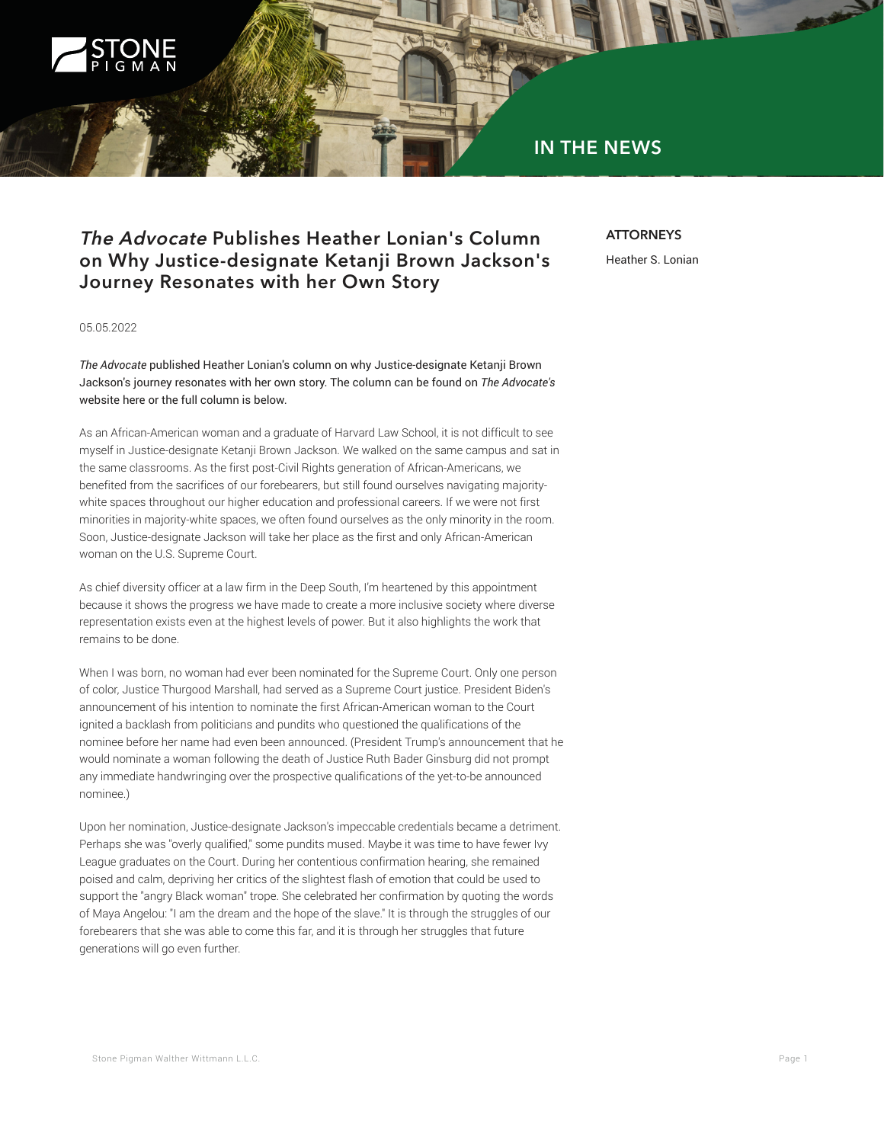

## **IN THE NEWS**

## **The Advocate Publishes Heather Lonian's Column on Why Justice-designate Ketanji Brown Jackson's Journey Resonates with her Own Story**

## **ATTORNEYS**

Heather S. Lonian

05.05.2022

*The Advocate* published Heather Lonian's column on why Justice-designate Ketanji Brown Jackson's journey resonates with her own story. The column can be found on *The Advocate's* website here or the full column is below.

As an African-American woman and a graduate of Harvard Law School, it is not difficult to see myself in Justice-designate Ketanji Brown Jackson. We walked on the same campus and sat in the same classrooms. As the first post-Civil Rights generation of African-Americans, we benefited from the sacrifices of our forebearers, but still found ourselves navigating majoritywhite spaces throughout our higher education and professional careers. If we were not first minorities in majority-white spaces, we often found ourselves as the only minority in the room. Soon, Justice-designate Jackson will take her place as the first and only African-American woman on the U.S. Supreme Court.

As chief diversity officer at a law firm in the Deep South, I'm heartened by this appointment because it shows the progress we have made to create a more inclusive society where diverse representation exists even at the highest levels of power. But it also highlights the work that remains to be done.

When I was born, no woman had ever been nominated for the Supreme Court. Only one person of color, Justice Thurgood Marshall, had served as a Supreme Court justice. President Biden's announcement of his intention to nominate the first African-American woman to the Court ignited a backlash from politicians and pundits who questioned the qualifications of the nominee before her name had even been announced. (President Trump's announcement that he would nominate a woman following the death of Justice Ruth Bader Ginsburg did not prompt any immediate handwringing over the prospective qualifications of the yet-to-be announced nominee.)

Upon her nomination, Justice-designate Jackson's impeccable credentials became a detriment. Perhaps she was "overly qualified," some pundits mused. Maybe it was time to have fewer Ivy League graduates on the Court. During her contentious confirmation hearing, she remained poised and calm, depriving her critics of the slightest flash of emotion that could be used to support the "angry Black woman" trope. She celebrated her confirmation by quoting the words of Maya Angelou: "I am the dream and the hope of the slave." It is through the struggles of our forebearers that she was able to come this far, and it is through her struggles that future generations will go even further.